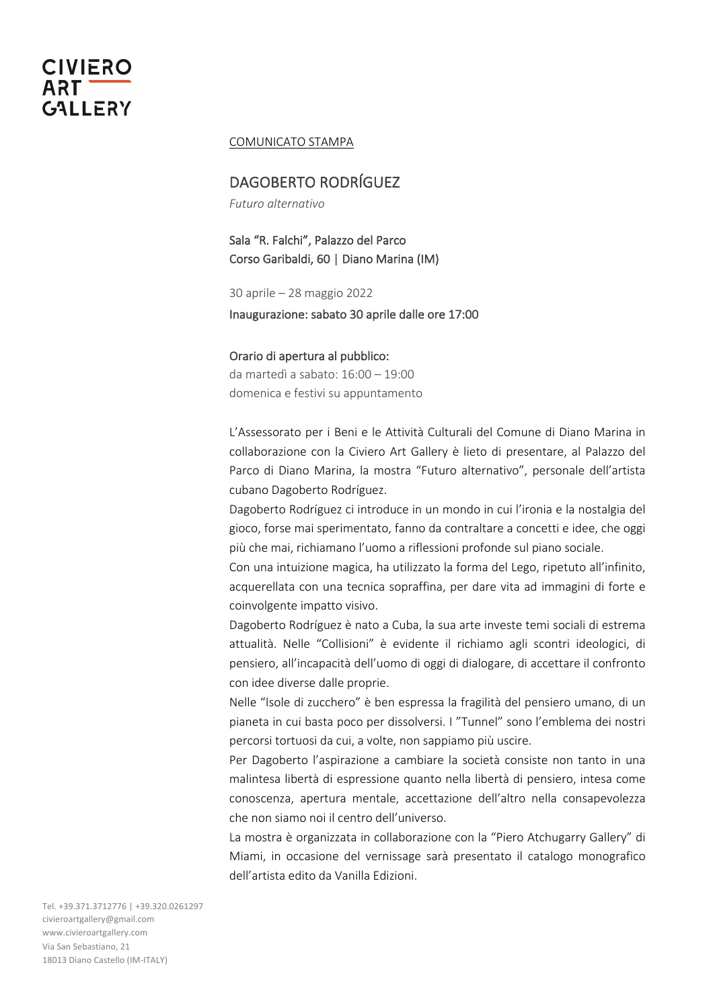# COMUNICATO STAMPA

# DAGOBERTO RODRÍGUEZ

*Futuro alternativo*

Sala "R. Falchi", Palazzo del Parco Corso Garibaldi, 60 | Diano Marina (IM)

30 aprile – 28 maggio 2022 Inaugurazione: sabato 30 aprile dalle ore 17:00

## Orario di apertura al pubblico:

da martedì a sabato: 16:00 – 19:00 domenica e festivi su appuntamento

L'Assessorato per i Beni e le Attività Culturali del Comune di Diano Marina in collaborazione con la Civiero Art Gallery è lieto di presentare, al Palazzo del Parco di Diano Marina, la mostra "Futuro alternativo", personale dell'artista cubano Dagoberto Rodríguez.

Dagoberto Rodríguez ci introduce in un mondo in cui l'ironia e la nostalgia del gioco, forse mai sperimentato, fanno da contraltare a concetti e idee, che oggi più che mai, richiamano l'uomo a riflessioni profonde sul piano sociale.

Con una intuizione magica, ha utilizzato la forma del Lego, ripetuto all'infinito, acquerellata con una tecnica sopraffina, per dare vita ad immagini di forte e coinvolgente impatto visivo.

Dagoberto Rodríguez è nato a Cuba, la sua arte investe temi sociali di estrema attualità. Nelle "Collisioni" è evidente il richiamo agli scontri ideologici, di pensiero, all'incapacità dell'uomo di oggi di dialogare, di accettare il confronto con idee diverse dalle proprie.

Nelle "Isole di zucchero" è ben espressa la fragilità del pensiero umano, di un pianeta in cui basta poco per dissolversi. I "Tunnel" sono l'emblema dei nostri percorsi tortuosi da cui, a volte, non sappiamo più uscire.

Per Dagoberto l'aspirazione a cambiare la società consiste non tanto in una malintesa libertà di espressione quanto nella libertà di pensiero, intesa come conoscenza, apertura mentale, accettazione dell'altro nella consapevolezza che non siamo noi il centro dell'universo.

La mostra è organizzata in collaborazione con la "Piero Atchugarry Gallery" di Miami, in occasione del vernissage sarà presentato il catalogo monografico dell'artista edito da Vanilla Edizioni.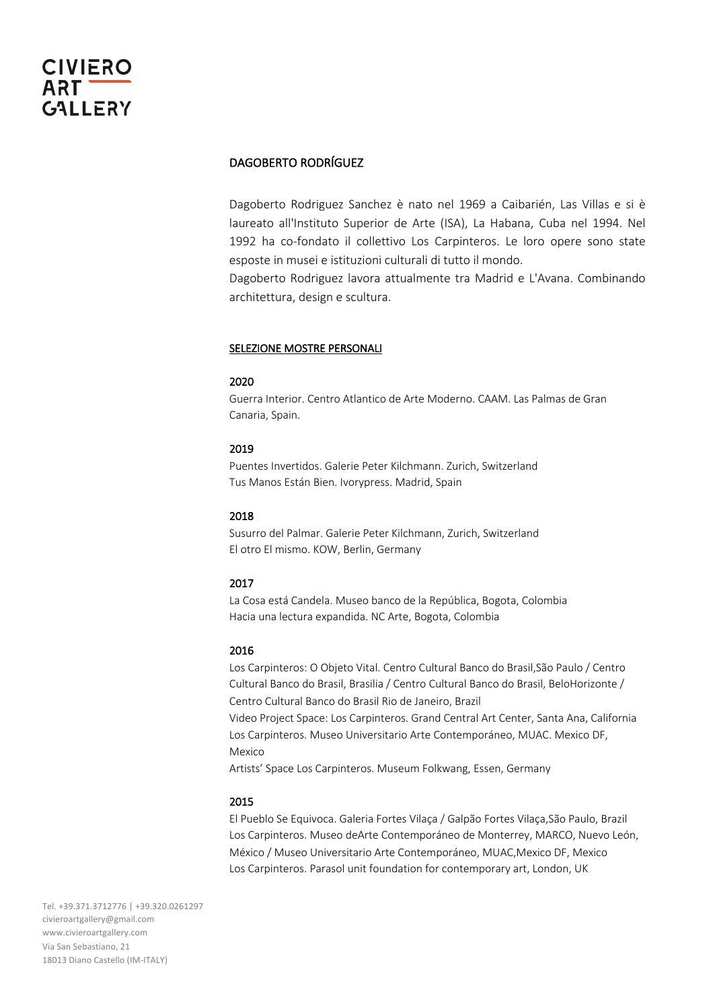# DAGOBERTO RODRÍGUEZ

Dagoberto Rodriguez Sanchez è nato nel 1969 a Caibarién, Las Villas e si è laureato all'Instituto Superior de Arte (ISA), La Habana, Cuba nel 1994. Nel 1992 ha co-fondato il collettivo Los Carpinteros. Le loro opere sono state esposte in musei e istituzioni culturali di tutto il mondo.

Dagoberto Rodriguez lavora attualmente tra Madrid e L'Avana. Combinando architettura, design e scultura.

## SELEZIONE MOSTRE PERSONALI

### 2020

Guerra Interior. Centro Atlantico de Arte Moderno. CAAM. Las Palmas de Gran Canaria, Spain.

### 2019

Puentes Invertidos. Galerie Peter Kilchmann. Zurich, Switzerland Tus Manos Están Bien. Ivorypress. Madrid, Spain

## 2018

Susurro del Palmar. Galerie Peter Kilchmann, Zurich, Switzerland El otro El mismo. KOW, Berlin, Germany

### 2017

La Cosa está Candela. Museo banco de la República, Bogota, Colombia Hacia una lectura expandida. NC Arte, Bogota, Colombia

## 2016

Los Carpinteros: O Objeto Vital. Centro Cultural Banco do Brasil,São Paulo / Centro Cultural Banco do Brasil, Brasilia / Centro Cultural Banco do Brasil, BeloHorizonte / Centro Cultural Banco do Brasil Rio de Janeiro, Brazil Video Project Space: Los Carpinteros. Grand Central Art Center, Santa Ana, California Los Carpinteros. Museo Universitario Arte Contemporáneo, MUAC. Mexico DF, Mexico

Artists' Space Los Carpinteros. Museum Folkwang, Essen, Germany

#### 2015

El Pueblo Se Equivoca. Galeria Fortes Vilaça / Galpão Fortes Vilaça,São Paulo, Brazil Los Carpinteros. Museo deArte Contemporáneo de Monterrey, MARCO, Nuevo León, México / Museo Universitario Arte Contemporáneo, MUAC,Mexico DF, Mexico Los Carpinteros. Parasol unit foundation for contemporary art, London, UK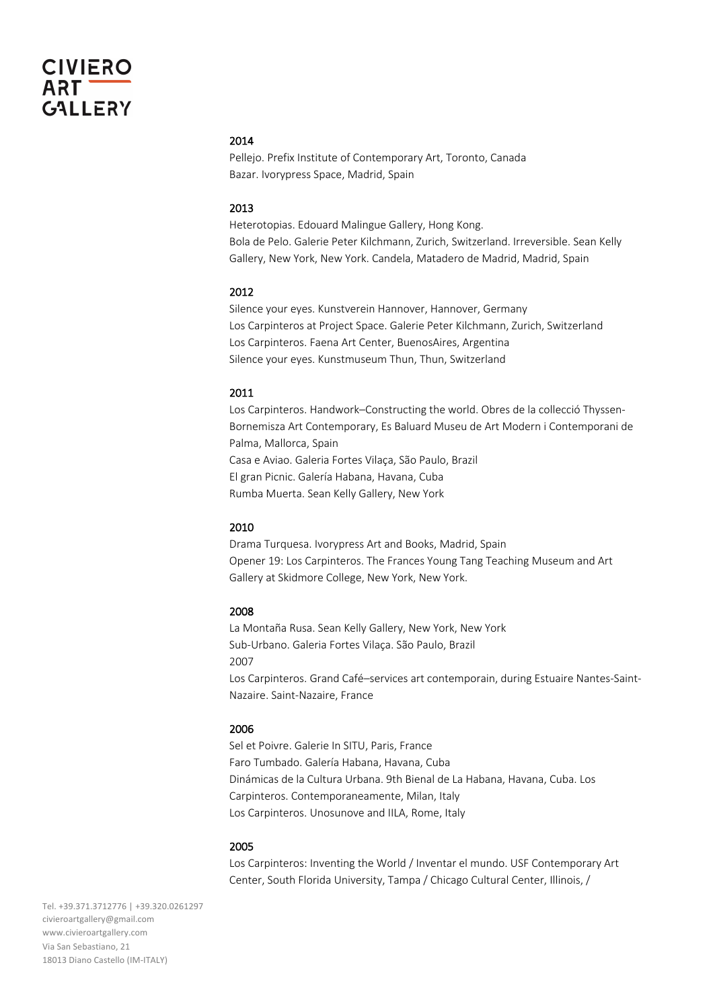# 2014

Pellejo. Prefix Institute of Contemporary Art, Toronto, Canada Bazar. Ivorypress Space, Madrid, Spain

# 2013

Heterotopias. Edouard Malingue Gallery, Hong Kong. Bola de Pelo. Galerie Peter Kilchmann, Zurich, Switzerland. Irreversible. Sean Kelly Gallery, New York, New York. Candela, Matadero de Madrid, Madrid, Spain

### 2012

Silence your eyes. Kunstverein Hannover, Hannover, Germany Los Carpinteros at Project Space. Galerie Peter Kilchmann, Zurich, Switzerland Los Carpinteros. Faena Art Center, BuenosAires, Argentina Silence your eyes. Kunstmuseum Thun, Thun, Switzerland

#### 2011

Los Carpinteros. Handwork–Constructing the world. Obres de la collecció Thyssen-Bornemisza Art Contemporary, Es Baluard Museu de Art Modern i Contemporani de Palma, Mallorca, Spain Casa e Aviao. Galeria Fortes Vilaça, São Paulo, Brazil El gran Picnic. Galería Habana, Havana, Cuba Rumba Muerta. Sean Kelly Gallery, New York

#### 2010

Drama Turquesa. Ivorypress Art and Books, Madrid, Spain Opener 19: Los Carpinteros. The Frances Young Tang Teaching Museum and Art Gallery at Skidmore College, New York, New York.

#### 2008

La Montaña Rusa. Sean Kelly Gallery, New York, New York Sub-Urbano. Galeria Fortes Vilaça. São Paulo, Brazil 2007 Los Carpinteros. Grand Café–services art contemporain, during Estuaire Nantes-Saint-Nazaire. Saint-Nazaire, France

#### 2006

Sel et Poivre. Galerie In SITU, Paris, France Faro Tumbado. Galería Habana, Havana, Cuba Dinámicas de la Cultura Urbana. 9th Bienal de La Habana, Havana, Cuba. Los Carpinteros. Contemporaneamente, Milan, Italy Los Carpinteros. Unosunove and IILA, Rome, Italy

#### 2005

Los Carpinteros: Inventing the World / Inventar el mundo. USF Contemporary Art Center, South Florida University, Tampa / Chicago Cultural Center, Illinois, /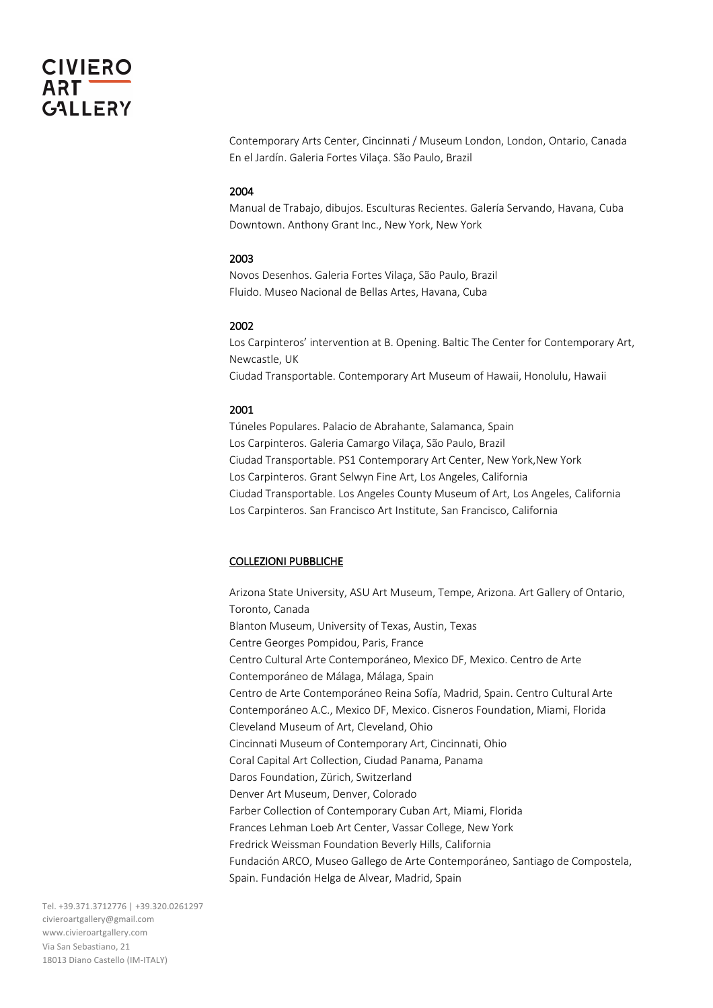Contemporary Arts Center, Cincinnati / Museum London, London, Ontario, Canada En el Jardín. Galeria Fortes Vilaça. São Paulo, Brazil

#### 2004

Manual de Trabajo, dibujos. Esculturas Recientes. Galería Servando, Havana, Cuba Downtown. Anthony Grant Inc., New York, New York

#### 2003

Novos Desenhos. Galeria Fortes Vilaça, São Paulo, Brazil Fluido. Museo Nacional de Bellas Artes, Havana, Cuba

### 2002

Los Carpinteros' intervention at B. Opening. Baltic The Center for Contemporary Art, Newcastle, UK Ciudad Transportable. Contemporary Art Museum of Hawaii, Honolulu, Hawaii

#### 2001

Túneles Populares. Palacio de Abrahante, Salamanca, Spain Los Carpinteros. Galeria Camargo Vilaça, São Paulo, Brazil Ciudad Transportable. PS1 Contemporary Art Center, New York,New York Los Carpinteros. Grant Selwyn Fine Art, Los Angeles, California Ciudad Transportable. Los Angeles County Museum of Art, Los Angeles, California Los Carpinteros. San Francisco Art Institute, San Francisco, California

### COLLEZIONI PUBBLICHE

Arizona State University, ASU Art Museum, Tempe, Arizona. Art Gallery of Ontario, Toronto, Canada Blanton Museum, University of Texas, Austin, Texas Centre Georges Pompidou, Paris, France Centro Cultural Arte Contemporáneo, Mexico DF, Mexico. Centro de Arte Contemporáneo de Málaga, Málaga, Spain Centro de Arte Contemporáneo Reina Sofía, Madrid, Spain. Centro Cultural Arte Contemporáneo A.C., Mexico DF, Mexico. Cisneros Foundation, Miami, Florida Cleveland Museum of Art, Cleveland, Ohio Cincinnati Museum of Contemporary Art, Cincinnati, Ohio Coral Capital Art Collection, Ciudad Panama, Panama Daros Foundation, Zürich, Switzerland Denver Art Museum, Denver, Colorado Farber Collection of Contemporary Cuban Art, Miami, Florida Frances Lehman Loeb Art Center, Vassar College, New York Fredrick Weissman Foundation Beverly Hills, California Fundación ARCO, Museo Gallego de Arte Contemporáneo, Santiago de Compostela, Spain. Fundación Helga de Alvear, Madrid, Spain